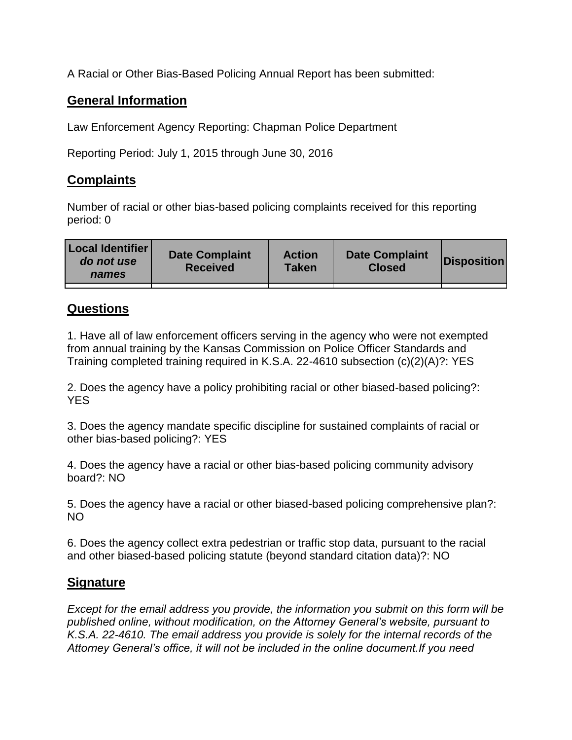A Racial or Other Bias-Based Policing Annual Report has been submitted:

## **General Information**

Law Enforcement Agency Reporting: Chapman Police Department

Reporting Period: July 1, 2015 through June 30, 2016

## **Complaints**

Number of racial or other bias-based policing complaints received for this reporting period: 0

| <b>Local Identifier</b><br>do not use<br>names | <b>Date Complaint</b><br><b>Received</b> | <b>Action</b><br><b>Taken</b> | <b>Date Complaint</b><br><b>Closed</b> | Disposition |
|------------------------------------------------|------------------------------------------|-------------------------------|----------------------------------------|-------------|
|                                                |                                          |                               |                                        |             |

## **Questions**

1. Have all of law enforcement officers serving in the agency who were not exempted from annual training by the Kansas Commission on Police Officer Standards and Training completed training required in K.S.A. 22-4610 subsection (c)(2)(A)?: YES

2. Does the agency have a policy prohibiting racial or other biased-based policing?: YES

3. Does the agency mandate specific discipline for sustained complaints of racial or other bias-based policing?: YES

4. Does the agency have a racial or other bias-based policing community advisory board?: NO

5. Does the agency have a racial or other biased-based policing comprehensive plan?: NO

6. Does the agency collect extra pedestrian or traffic stop data, pursuant to the racial and other biased-based policing statute (beyond standard citation data)?: NO

## **Signature**

*Except for the email address you provide, the information you submit on this form will be published online, without modification, on the Attorney General's website, pursuant to K.S.A. 22-4610. The email address you provide is solely for the internal records of the Attorney General's office, it will not be included in the online document.If you need*